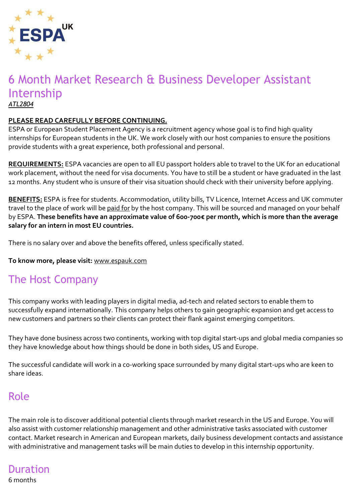

#### 6 Month Market Research & Business Developer Assistant Internship *ATL2804*

#### **PLEASE READ CAREFULLY BEFORE CONTINUING.**

ESPA or European Student Placement Agency is a recruitment agency whose goal is to find high quality internships for European students in the UK. We work closely with our host companies to ensure the positions provide students with a great experience, both professional and personal.

**REQUIREMENTS:** ESPA vacancies are open to all EU passport holders able to travel to the UK for an educational work placement, without the need for visa documents. You have to still be a student or have graduated in the last 12 months. Any student who is unsure of their visa situation should check with their university before applying.

**BENEFITS:** ESPA is free for students. Accommodation, utility bills, TV Licence, Internet Access and UK commuter travel to the place of work will be paid for by the host company. This will be sourced and managed on your behalf by ESPA. **These benefits have an approximate value of 600-700€ per month, which is more than the average salary for an intern in most EU countries.**

There is no salary over and above the benefits offered, unless specifically stated.

#### **To know more, please visit:** [www.espauk.com](http://www.espauk.com/)

#### The Host Company

This company works with leading players in digital media, ad-tech and related sectors to enable them to successfully expand internationally. This company helps others to gain geographic expansion and get access to new customers and partners so their clients can protect their flank against emerging competitors.

They have done business across two continents, working with top digital start-ups and global media companies so they have knowledge about how things should be done in both sides, US and Europe.

The successful candidate will work in a co-working space surrounded by many digital start-ups who are keen to share ideas.

#### Role

The main role is to discover additional potential clients through market research in the US and Europe. You will also assist with customer relationship management and other administrative tasks associated with customer contact. Market research in American and European markets, daily business development contacts and assistance with administrative and management tasks will be main duties to develop in this internship opportunity.

#### Duration 6 months